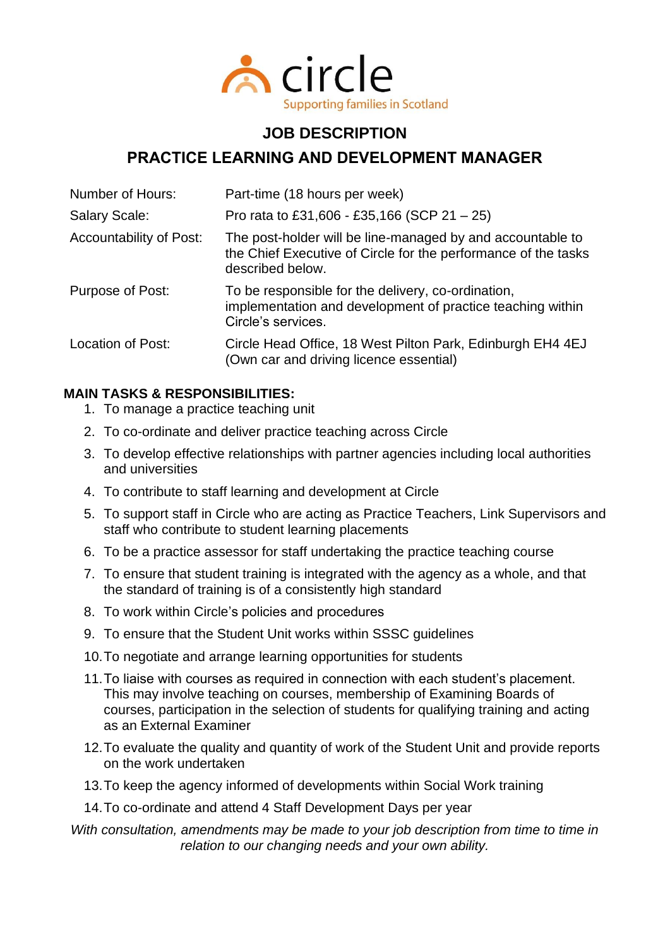

# **JOB DESCRIPTION**

# **PRACTICE LEARNING AND DEVELOPMENT MANAGER**

| Number of Hours:               | Part-time (18 hours per week)                                                                                                                    |
|--------------------------------|--------------------------------------------------------------------------------------------------------------------------------------------------|
| <b>Salary Scale:</b>           | Pro rata to £31,606 - £35,166 (SCP 21 - 25)                                                                                                      |
| <b>Accountability of Post:</b> | The post-holder will be line-managed by and accountable to<br>the Chief Executive of Circle for the performance of the tasks<br>described below. |
| Purpose of Post:               | To be responsible for the delivery, co-ordination,<br>implementation and development of practice teaching within<br>Circle's services.           |
| Location of Post:              | Circle Head Office, 18 West Pilton Park, Edinburgh EH4 4EJ<br>(Own car and driving licence essential)                                            |

## **MAIN TASKS & RESPONSIBILITIES:**

- 1. To manage a practice teaching unit
- 2. To co-ordinate and deliver practice teaching across Circle
- 3. To develop effective relationships with partner agencies including local authorities and universities
- 4. To contribute to staff learning and development at Circle
- 5. To support staff in Circle who are acting as Practice Teachers, Link Supervisors and staff who contribute to student learning placements
- 6. To be a practice assessor for staff undertaking the practice teaching course
- 7. To ensure that student training is integrated with the agency as a whole, and that the standard of training is of a consistently high standard
- 8. To work within Circle's policies and procedures
- 9. To ensure that the Student Unit works within SSSC guidelines
- 10.To negotiate and arrange learning opportunities for students
- 11.To liaise with courses as required in connection with each student's placement. This may involve teaching on courses, membership of Examining Boards of courses, participation in the selection of students for qualifying training and acting as an External Examiner
- 12.To evaluate the quality and quantity of work of the Student Unit and provide reports on the work undertaken
- 13.To keep the agency informed of developments within Social Work training
- 14.To co-ordinate and attend 4 Staff Development Days per year

#### *With consultation, amendments may be made to your job description from time to time in relation to our changing needs and your own ability.*